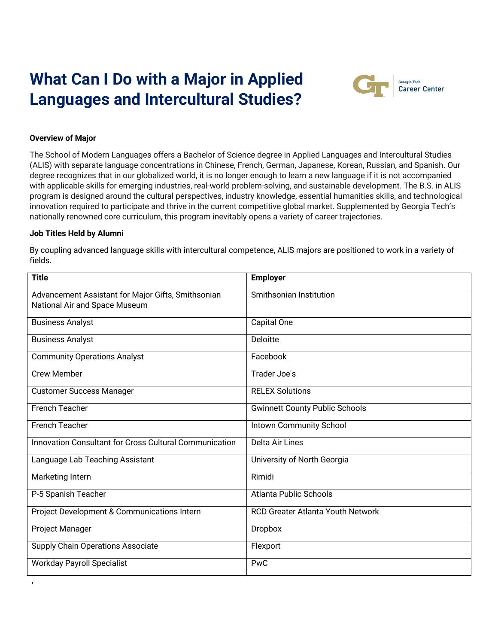# **What Can I Do with a Major in Applied Languages and Intercultural Studies?**



## **Overview of Major**

The School of Modern Languages offers a Bachelor of Science degree in Applied Languages and Intercultural Studies (ALIS) with separate language concentrations in Chinese, French, German, Japanese, Korean, Russian, and Spanish. Our degree recognizes that in our globalized world, it is no longer enough to learn a new language if it is not accompanied with applicable skills for emerging industries, real-world problem-solving, and sustainable development. The B.S. in ALIS program is designed around the cultural perspectives, industry knowledge, essential humanities skills, and technological innovation required to participate and thrive in the current competitive global market. Supplemented by Georgia Tech's nationally renowned core curriculum, this program inevitably opens a variety of career trajectories.

#### **Job Titles Held by Alumni**

,

By coupling advanced language skills with intercultural competence, ALIS majors are positioned to work in a variety of fields.

| <b>Title</b>                                                                        | <b>Employer</b>                          |
|-------------------------------------------------------------------------------------|------------------------------------------|
| Advancement Assistant for Major Gifts, Smithsonian<br>National Air and Space Museum | Smithsonian Institution                  |
| <b>Business Analyst</b>                                                             | Capital One                              |
| <b>Business Analyst</b>                                                             | Deloitte                                 |
| <b>Community Operations Analyst</b>                                                 | Facebook                                 |
| <b>Crew Member</b>                                                                  | Trader Joe's                             |
| <b>Customer Success Manager</b>                                                     | <b>RELEX Solutions</b>                   |
| <b>French Teacher</b>                                                               | <b>Gwinnett County Public Schools</b>    |
| <b>French Teacher</b>                                                               | <b>Intown Community School</b>           |
| <b>Innovation Consultant for Cross Cultural Communication</b>                       | Delta Air Lines                          |
| Language Lab Teaching Assistant                                                     | University of North Georgia              |
| Marketing Intern                                                                    | Rimidi                                   |
| P-5 Spanish Teacher                                                                 | <b>Atlanta Public Schools</b>            |
| Project Development & Communications Intern                                         | <b>RCD Greater Atlanta Youth Network</b> |
| Project Manager                                                                     | <b>Dropbox</b>                           |
| Supply Chain Operations Associate                                                   | Flexport                                 |
| <b>Workday Payroll Specialist</b>                                                   | PwC                                      |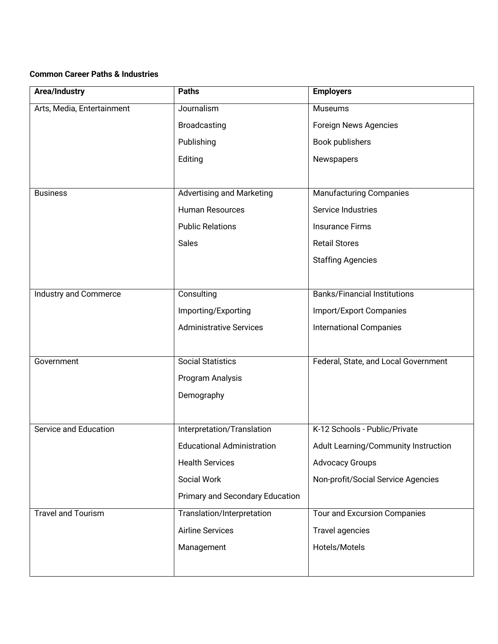# **Common Career Paths & Industries**

| Area/Industry                | <b>Paths</b>                      | <b>Employers</b>                     |
|------------------------------|-----------------------------------|--------------------------------------|
| Arts, Media, Entertainment   | Journalism                        | <b>Museums</b>                       |
|                              | <b>Broadcasting</b>               | Foreign News Agencies                |
|                              | Publishing                        | Book publishers                      |
|                              | Editing                           | Newspapers                           |
|                              |                                   |                                      |
| <b>Business</b>              | <b>Advertising and Marketing</b>  | <b>Manufacturing Companies</b>       |
|                              | <b>Human Resources</b>            | Service Industries                   |
|                              | <b>Public Relations</b>           | <b>Insurance Firms</b>               |
|                              | <b>Sales</b>                      | <b>Retail Stores</b>                 |
|                              |                                   | <b>Staffing Agencies</b>             |
|                              |                                   |                                      |
| <b>Industry and Commerce</b> | Consulting                        | <b>Banks/Financial Institutions</b>  |
|                              | Importing/Exporting               | <b>Import/Export Companies</b>       |
|                              | <b>Administrative Services</b>    | <b>International Companies</b>       |
|                              |                                   |                                      |
| Government                   | <b>Social Statistics</b>          | Federal, State, and Local Government |
|                              | Program Analysis                  |                                      |
|                              | Demography                        |                                      |
|                              |                                   |                                      |
| Service and Education        | Interpretation/Translation        | K-12 Schools - Public/Private        |
|                              | <b>Educational Administration</b> | Adult Learning/Community Instruction |
|                              | <b>Health Services</b>            | <b>Advocacy Groups</b>               |
|                              | Social Work                       | Non-profit/Social Service Agencies   |
|                              | Primary and Secondary Education   |                                      |
| <b>Travel and Tourism</b>    | Translation/Interpretation        | Tour and Excursion Companies         |
|                              | <b>Airline Services</b>           | Travel agencies                      |
|                              | Management                        | Hotels/Motels                        |
|                              |                                   |                                      |